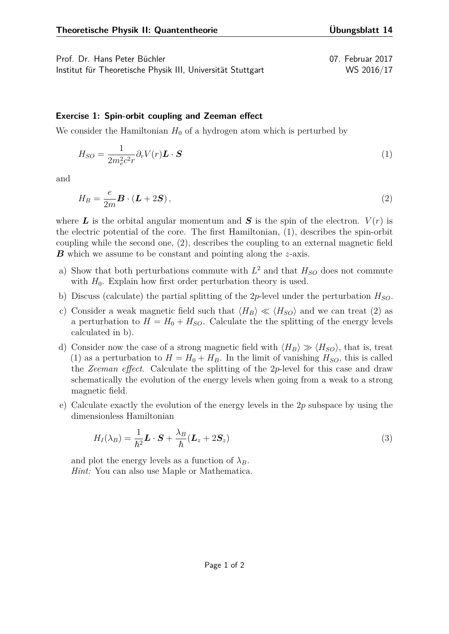Prof. Dr. Hans Peter Büchler 07. Februar 2017 Institut für Theoretische Physik III, Universität Stuttgart WS 2016/17

<span id="page-0-0"></span>

## **Exercise 1: Spin-orbit coupling and Zeeman effect**

We consider the Hamiltonian  $H_0$  of a hydrogen atom which is perturbed by

$$
H_{SO} = \frac{1}{2m_e^2 c^2 r} \partial_r V(r) \mathbf{L} \cdot \mathbf{S}
$$
 (1)

<span id="page-0-1"></span>and

$$
H_B = \frac{e}{2m} \boldsymbol{B} \cdot (\boldsymbol{L} + 2\boldsymbol{S})\,,\tag{2}
$$

where **L** is the orbital angular momentum and **S** is the spin of the electron.  $V(r)$  is the electric potential of the core. The first Hamiltonian, [\(1\)](#page-0-0), describes the spin-orbit coupling while the second one, [\(2\)](#page-0-1), describes the coupling to an external magnetic field *B* which we assume to be constant and pointing along the *z*-axis.

- a) Show that both perturbations commute with  $L^2$  and that  $H_{SO}$  does not commute with  $H_0$ . Explain how first order perturbation theory is used.
- b) Discuss (calculate) the partial splitting of the 2*p*-level under the perturbation *HSO*.
- c) Consider a weak magnetic field such that  $\langle H_B \rangle \ll \langle H_{SO} \rangle$  and we can treat [\(2\)](#page-0-1) as a perturbation to  $H = H_0 + H_{SO}$ . Calculate the splitting of the energy levels calculated in b).
- d) Consider now the case of a strong magnetic field with  $\langle H_B \rangle \gg \langle H_{SO} \rangle$ , that is, treat [\(1\)](#page-0-0) as a perturbation to  $H = H_0 + H_B$ . In the limit of vanishing  $H_{SO}$ , this is called the *Zeeman effect*. Calculate the splitting of the 2*p*-level for this case and draw schematically the evolution of the energy levels when going from a weak to a strong magnetic field.
- e) Calculate exactly the evolution of the energy levels in the 2*p* subspace by using the dimensionless Hamiltonian

$$
H_I(\lambda_B) = \frac{1}{\hbar^2} \mathbf{L} \cdot \mathbf{S} + \frac{\lambda_B}{\hbar} (\mathbf{L}_z + 2\mathbf{S}_z)
$$
\n(3)

and plot the energy levels as a function of  $\lambda_B$ . *Hint:* You can also use Maple or Mathematica.